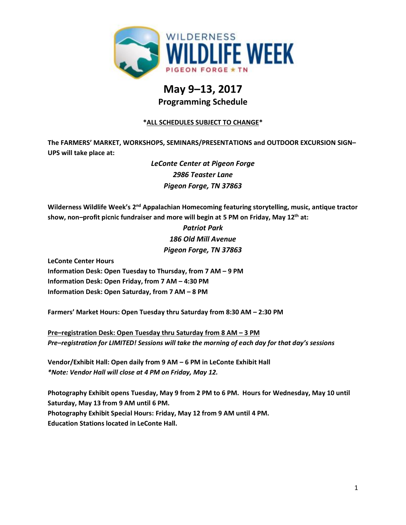

# **May 9–13, 2017**

**Programming Schedule**

### **\*ALL SCHEDULES SUBJECT TO CHANGE\***

**The FARMERS' MARKET, WORKSHOPS, SEMINARS/PRESENTATIONS and OUTDOOR EXCURSION SIGN– UPS will take place at:**

> *LeConte Center at Pigeon Forge 2986 Teaster Lane Pigeon Forge, TN 37863*

Wilderness Wildlife Week's 2<sup>nd</sup> Appalachian Homecoming featuring storytelling, music, antique tractor **show, non–profit picnic fundraiser and more will begin at 5 PM on Friday, May 12th at:**

> *Patriot Park 186 Old Mill Avenue Pigeon Forge, TN 37863*

**LeConte Center Hours Information Desk: Open Tuesday to Thursday, from 7 AM – 9 PM Information Desk: Open Friday, from 7 AM – 4:30 PM Information Desk: Open Saturday, from 7 AM – 8 PM** 

**Farmers' Market Hours: Open Tuesday thru Saturday from 8:30 AM – 2:30 PM**

**Pre–registration Desk: Open Tuesday thru Saturday from 8 AM – 3 PM**  *Pre–registration for LIMITED! Sessions will take the morning of each day for that day's sessions*

**Vendor/Exhibit Hall: Open daily from 9 AM – 6 PM in LeConte Exhibit Hall** *\*Note: Vendor Hall will close at 4 PM on Friday, May 12.*

**Photography Exhibit opens Tuesday, May 9 from 2 PM to 6 PM. Hours for Wednesday, May 10 until Saturday, May 13 from 9 AM until 6 PM. Photography Exhibit Special Hours: Friday, May 12 from 9 AM until 4 PM. Education Stations located in LeConte Hall.**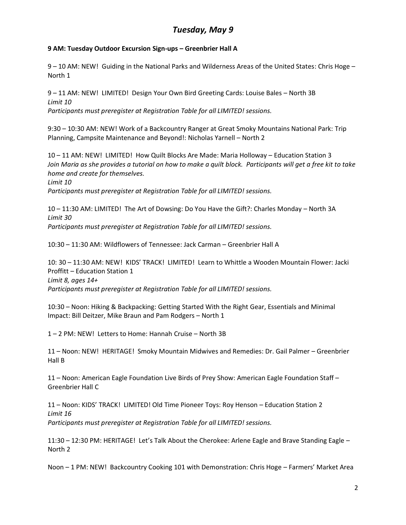# *Tuesday, May 9*

#### **9 AM: Tuesday Outdoor Excursion Sign-ups – Greenbrier Hall A**

9 – 10 AM: NEW! Guiding in the National Parks and Wilderness Areas of the United States: Chris Hoge – North 1

9 – 11 AM: NEW! LIMITED! Design Your Own Bird Greeting Cards: Louise Bales – North 3B *Limit 10 Participants must preregister at Registration Table for all LIMITED! sessions.*

9:30 – 10:30 AM: NEW! Work of a Backcountry Ranger at Great Smoky Mountains National Park: Trip Planning, Campsite Maintenance and Beyond!: Nicholas Yarnell – North 2

10 – 11 AM: NEW! LIMITED! How Quilt Blocks Are Made: Maria Holloway – Education Station 3 *Join Maria as she provides a tutorial on how to make a quilt block. Participants will get a free kit to take home and create for themselves. Limit 10*

*Participants must preregister at Registration Table for all LIMITED! sessions.*

10 – 11:30 AM: LIMITED! The Art of Dowsing: Do You Have the Gift?: Charles Monday – North 3A *Limit 30 Participants must preregister at Registration Table for all LIMITED! sessions.*

10:30 – 11:30 AM: Wildflowers of Tennessee: Jack Carman – Greenbrier Hall A

10: 30 – 11:30 AM: NEW! KIDS' TRACK! LIMITED! Learn to Whittle a Wooden Mountain Flower: Jacki Proffitt – Education Station 1 *Limit 8, ages 14+ Participants must preregister at Registration Table for all LIMITED! sessions.*

10:30 – Noon: Hiking & Backpacking: Getting Started With the Right Gear, Essentials and Minimal Impact: Bill Deitzer, Mike Braun and Pam Rodgers – North 1

1 – 2 PM: NEW! Letters to Home: Hannah Cruise – North 3B

11 – Noon: NEW! HERITAGE! Smoky Mountain Midwives and Remedies: Dr. Gail Palmer – Greenbrier Hall B

11 – Noon: American Eagle Foundation Live Birds of Prey Show: American Eagle Foundation Staff – Greenbrier Hall C

11 – Noon: KIDS' TRACK! LIMITED! Old Time Pioneer Toys: Roy Henson – Education Station 2 *Limit 16 Participants must preregister at Registration Table for all LIMITED! sessions.*

11:30 – 12:30 PM: HERITAGE! Let's Talk About the Cherokee: Arlene Eagle and Brave Standing Eagle – North 2

Noon – 1 PM: NEW! Backcountry Cooking 101 with Demonstration: Chris Hoge – Farmers' Market Area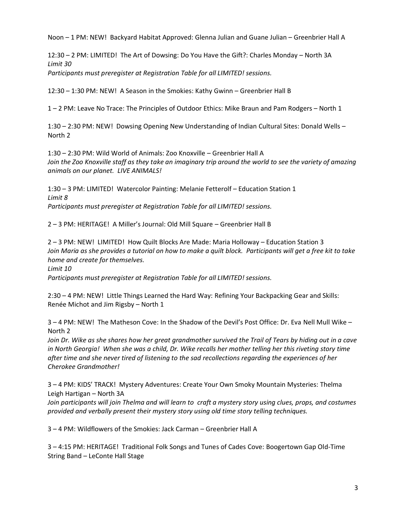Noon – 1 PM: NEW! Backyard Habitat Approved: Glenna Julian and Guane Julian – Greenbrier Hall A

12:30 – 2 PM: LIMITED! The Art of Dowsing: Do You Have the Gift?: Charles Monday – North 3A *Limit 30 Participants must preregister at Registration Table for all LIMITED! sessions.*

12:30 – 1:30 PM: NEW! A Season in the Smokies: Kathy Gwinn – Greenbrier Hall B

1 – 2 PM: Leave No Trace: The Principles of Outdoor Ethics: Mike Braun and Pam Rodgers – North 1

1:30 – 2:30 PM: NEW! Dowsing Opening New Understanding of Indian Cultural Sites: Donald Wells – North 2

1:30 – 2:30 PM: Wild World of Animals: Zoo Knoxville – Greenbrier Hall A *Join the Zoo Knoxville staff as they take an imaginary trip around the world to see the variety of amazing animals on our planet. LIVE ANIMALS!*

1:30 – 3 PM: LIMITED! Watercolor Painting: Melanie Fetterolf – Education Station 1 *Limit 8 Participants must preregister at Registration Table for all LIMITED! sessions.*

2 – 3 PM: HERITAGE! A Miller's Journal: Old Mill Square – Greenbrier Hall B

2 – 3 PM: NEW! LIMITED! How Quilt Blocks Are Made: Maria Holloway – Education Station 3 *Join Maria as she provides a tutorial on how to make a quilt block. Participants will get a free kit to take home and create for themselves. Limit 10*

*Participants must preregister at Registration Table for all LIMITED! sessions.*

2:30 – 4 PM: NEW! Little Things Learned the Hard Way: Refining Your Backpacking Gear and Skills: Renée Michot and Jim Rigsby – North 1

3 – 4 PM: NEW! The Matheson Cove: In the Shadow of the Devil's Post Office: Dr. Eva Nell Mull Wike – North 2

*Join Dr. Wike as she shares how her great grandmother survived the Trail of Tears by hiding out in a cave in North Georgia! When she was a child, Dr. Wike recalls her mother telling her this riveting story time after time and she never tired of listening to the sad recollections regarding the experiences of her Cherokee Grandmother!*

3 – 4 PM: KIDS' TRACK! Mystery Adventures: Create Your Own Smoky Mountain Mysteries: Thelma Leigh Hartigan – North 3A

*Join participants will join Thelma and will learn to craft a mystery story using clues, props, and costumes provided and verbally present their mystery story using old time story telling techniques.*

3 – 4 PM: Wildflowers of the Smokies: Jack Carman – Greenbrier Hall A

3 – 4:15 PM: HERITAGE! Traditional Folk Songs and Tunes of Cades Cove: Boogertown Gap Old-Time String Band – LeConte Hall Stage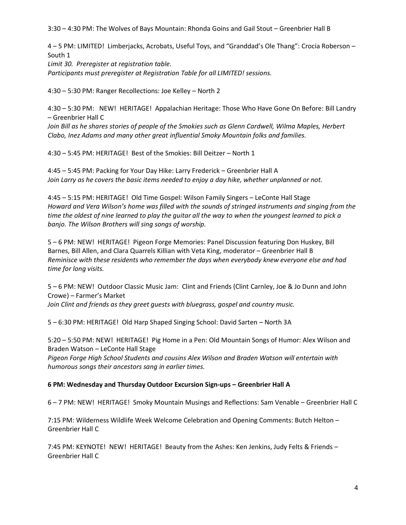3:30 – 4:30 PM: The Wolves of Bays Mountain: Rhonda Goins and Gail Stout – Greenbrier Hall B

4 – 5 PM: LIMITED! Limberjacks, Acrobats, Useful Toys, and "Granddad's Ole Thang": Crocia Roberson – South 1

*Limit 30. Preregister at registration table. Participants must preregister at Registration Table for all LIMITED! sessions.*

4:30 – 5:30 PM: Ranger Recollections: Joe Kelley – North 2

4:30 – 5:30 PM: NEW! HERITAGE! Appalachian Heritage: Those Who Have Gone On Before: Bill Landry – Greenbrier Hall C

*Join Bill as he shares stories of people of the Smokies such as Glenn Cardwell, Wilma Maples, Herbert Clabo, Inez Adams and many other great influential Smoky Mountain folks and families.*

4:30 – 5:45 PM: HERITAGE! Best of the Smokies: Bill Deitzer – North 1

4:45 – 5:45 PM: Packing for Your Day Hike: Larry Frederick – Greenbrier Hall A *Join Larry as he covers the basic items needed to enjoy a day hike, whether unplanned or not.*

4:45 – 5:15 PM: HERITAGE! Old Time Gospel: Wilson Family Singers – LeConte Hall Stage *Howard and Vera Wilson's home was filled with the sounds of stringed instruments and singing from the time the oldest of nine learned to play the guitar all the way to when the youngest learned to pick a banjo. The Wilson Brothers will sing songs of worship.*

5 – 6 PM: NEW! HERITAGE! Pigeon Forge Memories: Panel Discussion featuring Don Huskey, Bill Barnes, Bill Allen, and Clara Quarrels Killian with Veta King, moderator – Greenbrier Hall B *Reminisce with these residents who remember the days when everybody knew everyone else and had time for long visits.*

5 – 6 PM: NEW! Outdoor Classic Music Jam: Clint and Friends (Clint Carnley, Joe & Jo Dunn and John Crowe) – Farmer's Market *Join Clint and friends as they greet guests with bluegrass, gospel and country music.* 

5 – 6:30 PM: HERITAGE! Old Harp Shaped Singing School: David Sarten – North 3A

5:20 – 5:50 PM: NEW! HERITAGE! Pig Home in a Pen: Old Mountain Songs of Humor: Alex Wilson and Braden Watson – LeConte Hall Stage

*Pigeon Forge High School Students and cousins Alex Wilson and Braden Watson will entertain with humorous songs their ancestors sang in earlier times.*

#### **6 PM: Wednesday and Thursday Outdoor Excursion Sign-ups – Greenbrier Hall A**

6 – 7 PM: NEW! HERITAGE! Smoky Mountain Musings and Reflections: Sam Venable – Greenbrier Hall C

7:15 PM: Wilderness Wildlife Week Welcome Celebration and Opening Comments: Butch Helton – Greenbrier Hall C

7:45 PM: KEYNOTE! NEW! HERITAGE! Beauty from the Ashes: Ken Jenkins, Judy Felts & Friends – Greenbrier Hall C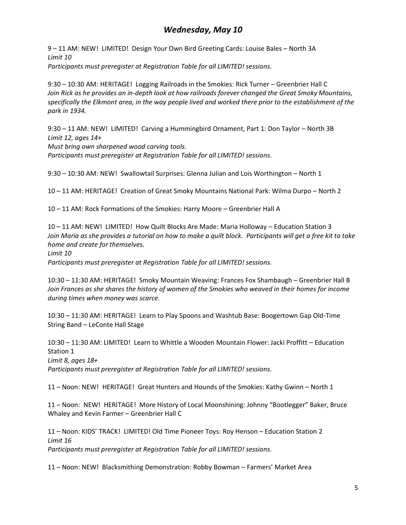# *Wednesday, May 10*

9 – 11 AM: NEW! LIMITED! Design Your Own Bird Greeting Cards: Louise Bales – North 3A *Limit 10 Participants must preregister at Registration Table for all LIMITED! sessions.*

9:30 – 10:30 AM: HERITAGE! Logging Railroads in the Smokies: Rick Turner – Greenbrier Hall C *Join Rick as he provides an in-depth look at how railroads forever changed the Great Smoky Mountains, specifically the Elkmont area, in the way people lived and worked there prior to the establishment of the park in 1934.*

9:30 – 11 AM: NEW! LIMITED! Carving a Hummingbird Ornament, Part 1: Don Taylor – North 3B *Limit 12, ages 14+ Must bring own sharpened wood carving tools. Participants must preregister at Registration Table for all LIMITED! sessions.*

9:30 – 10:30 AM: NEW! Swallowtail Surprises: Glenna Julian and Lois Worthington – North 1

10 – 11 AM: HERITAGE! Creation of Great Smoky Mountains National Park: Wilma Durpo – North 2

10 – 11 AM: Rock Formations of the Smokies: Harry Moore – Greenbrier Hall A

10 – 11 AM: NEW! LIMITED! How Quilt Blocks Are Made: Maria Holloway – Education Station 3 *Join Maria as she provides a tutorial on how to make a quilt block. Participants will get a free kit to take home and create for themselves.*

*Limit 10*

*Participants must preregister at Registration Table for all LIMITED! sessions.*

10:30 – 11:30 AM: HERITAGE! Smoky Mountain Weaving: Frances Fox Shambaugh – Greenbrier Hall B *Join Frances as she shares the history of women of the Smokies who weaved in their homes for income during times when money was scarce.*

10:30 – 11:30 AM: HERITAGE! Learn to Play Spoons and Washtub Base: Boogertown Gap Old-Time String Band – LeConte Hall Stage

10:30 – 11:30 AM: LIMITED! Learn to Whittle a Wooden Mountain Flower: Jacki Proffitt – Education Station 1

*Limit 8, ages 18+*

*Participants must preregister at Registration Table for all LIMITED! sessions.*

11 – Noon: NEW! HERITAGE! Great Hunters and Hounds of the Smokies: Kathy Gwinn – North 1

11 – Noon: NEW! HERITAGE! More History of Local Moonshining: Johnny "Bootlegger" Baker, Bruce Whaley and Kevin Farmer – Greenbrier Hall C

11 – Noon: KIDS' TRACK! LIMITED! Old Time Pioneer Toys: Roy Henson – Education Station 2 *Limit 16*

*Participants must preregister at Registration Table for all LIMITED! sessions.*

11 – Noon: NEW! Blacksmithing Demonstration: Robby Bowman – Farmers' Market Area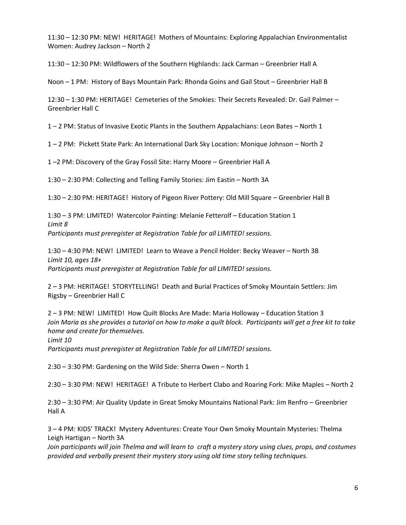11:30 – 12:30 PM: NEW! HERITAGE! Mothers of Mountains: Exploring Appalachian Environmentalist Women: Audrey Jackson – North 2

11:30 – 12:30 PM: Wildflowers of the Southern Highlands: Jack Carman – Greenbrier Hall A

Noon – 1 PM: History of Bays Mountain Park: Rhonda Goins and Gail Stout – Greenbrier Hall B

12:30 – 1:30 PM: HERITAGE! Cemeteries of the Smokies: Their Secrets Revealed: Dr. Gail Palmer – Greenbrier Hall C

1 – 2 PM: Status of Invasive Exotic Plants in the Southern Appalachians: Leon Bates – North 1

1 – 2 PM: Pickett State Park: An International Dark Sky Location: Monique Johnson – North 2

1 –2 PM: Discovery of the Gray Fossil Site: Harry Moore – Greenbrier Hall A

1:30 – 2:30 PM: Collecting and Telling Family Stories: Jim Eastin – North 3A

1:30 – 2:30 PM: HERITAGE! History of Pigeon River Pottery: Old Mill Square – Greenbrier Hall B

1:30 – 3 PM: LIMITED! Watercolor Painting: Melanie Fetterolf – Education Station 1 *Limit 8 Participants must preregister at Registration Table for all LIMITED! sessions.*

1:30 – 4:30 PM: NEW! LIMITED! Learn to Weave a Pencil Holder: Becky Weaver – North 3B *Limit 10, ages 18+ Participants must preregister at Registration Table for all LIMITED! sessions.*

2 – 3 PM: HERITAGE! STORYTELLING! Death and Burial Practices of Smoky Mountain Settlers: Jim Rigsby – Greenbrier Hall C

2 – 3 PM: NEW! LIMITED! How Quilt Blocks Are Made: Maria Holloway – Education Station 3 *Join Maria as she provides a tutorial on how to make a quilt block. Participants will get a free kit to take home and create for themselves.*

*Limit 10*

*Participants must preregister at Registration Table for all LIMITED! sessions.*

2:30 – 3:30 PM: Gardening on the Wild Side: Sherra Owen – North 1

2:30 – 3:30 PM: NEW! HERITAGE! A Tribute to Herbert Clabo and Roaring Fork: Mike Maples – North 2

2:30 – 3:30 PM: Air Quality Update in Great Smoky Mountains National Park: Jim Renfro – Greenbrier Hall A

3 – 4 PM: KIDS' TRACK! Mystery Adventures: Create Your Own Smoky Mountain Mysteries: Thelma Leigh Hartigan – North 3A

*Join participants will join Thelma and will learn to craft a mystery story using clues, props, and costumes provided and verbally present their mystery story using old time story telling techniques.*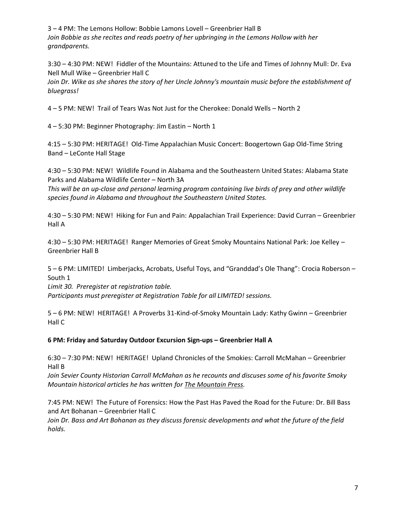3 – 4 PM: The Lemons Hollow: Bobbie Lamons Lovell – Greenbrier Hall B *Join Bobbie as she recites and reads poetry of her upbringing in the Lemons Hollow with her grandparents.*

3:30 – 4:30 PM: NEW! Fiddler of the Mountains: Attuned to the Life and Times of Johnny Mull: Dr. Eva Nell Mull Wike – Greenbrier Hall C

Join Dr. Wike as she shares the story of her Uncle Johnny's mountain music before the establishment of *bluegrass!* 

4 – 5 PM: NEW! Trail of Tears Was Not Just for the Cherokee: Donald Wells – North 2

4 – 5:30 PM: Beginner Photography: Jim Eastin – North 1

4:15 – 5:30 PM: HERITAGE! Old-Time Appalachian Music Concert: Boogertown Gap Old-Time String Band – LeConte Hall Stage

4:30 – 5:30 PM: NEW! Wildlife Found in Alabama and the Southeastern United States: Alabama State Parks and Alabama Wildlife Center – North 3A

*This will be an up-close and personal learning program containing live birds of prey and other wildlife species found in Alabama and throughout the Southeastern United States.* 

4:30 – 5:30 PM: NEW! Hiking for Fun and Pain: Appalachian Trail Experience: David Curran – Greenbrier Hall A

4:30 – 5:30 PM: HERITAGE! Ranger Memories of Great Smoky Mountains National Park: Joe Kelley – Greenbrier Hall B

5 – 6 PM: LIMITED! Limberjacks, Acrobats, Useful Toys, and "Granddad's Ole Thang": Crocia Roberson – South 1

*Limit 30. Preregister at registration table.*

*Participants must preregister at Registration Table for all LIMITED! sessions.*

5 – 6 PM: NEW! HERITAGE! A Proverbs 31-Kind-of-Smoky Mountain Lady: Kathy Gwinn – Greenbrier Hall C

#### **6 PM: Friday and Saturday Outdoor Excursion Sign-ups – Greenbrier Hall A**

6:30 – 7:30 PM: NEW! HERITAGE! Upland Chronicles of the Smokies: Carroll McMahan – Greenbrier Hall B

*Join Sevier County Historian Carroll McMahan as he recounts and discuses some of his favorite Smoky Mountain historical articles he has written for The Mountain Press.*

7:45 PM: NEW! The Future of Forensics: How the Past Has Paved the Road for the Future: Dr. Bill Bass and Art Bohanan – Greenbrier Hall C

*Join Dr. Bass and Art Bohanan as they discuss forensic developments and what the future of the field holds.*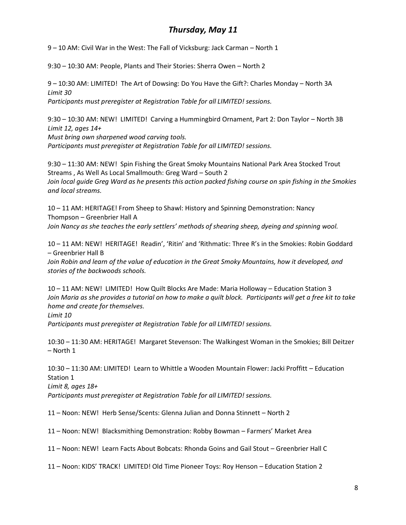# *Thursday, May 11*

9 – 10 AM: Civil War in the West: The Fall of Vicksburg: Jack Carman – North 1

9:30 – 10:30 AM: People, Plants and Their Stories: Sherra Owen – North 2

9 – 10:30 AM: LIMITED! The Art of Dowsing: Do You Have the Gift?: Charles Monday – North 3A *Limit 30 Participants must preregister at Registration Table for all LIMITED! sessions.*

9:30 – 10:30 AM: NEW! LIMITED! Carving a Hummingbird Ornament, Part 2: Don Taylor – North 3B *Limit 12, ages 14+ Must bring own sharpened wood carving tools. Participants must preregister at Registration Table for all LIMITED! sessions.*

9:30 – 11:30 AM: NEW! Spin Fishing the Great Smoky Mountains National Park Area Stocked Trout Streams , As Well As Local Smallmouth: Greg Ward – South 2 *Join local guide Greg Ward as he presents this action packed fishing course on spin fishing in the Smokies and local streams.*

10 – 11 AM: HERITAGE! From Sheep to Shawl: History and Spinning Demonstration: Nancy Thompson – Greenbrier Hall A *Join Nancy as she teaches the early settlers' methods of shearing sheep, dyeing and spinning wool.* 

10 – 11 AM: NEW! HERITAGE! Readin', 'Ritin' and 'Rithmatic: Three R's in the Smokies: Robin Goddard – Greenbrier Hall B

Join Robin and learn of the value of education in the Great Smoky Mountains, how it developed, and *stories of the backwoods schools.*

10 – 11 AM: NEW! LIMITED! How Quilt Blocks Are Made: Maria Holloway – Education Station 3 *Join Maria as she provides a tutorial on how to make a quilt block. Participants will get a free kit to take home and create for themselves.*

*Limit 10*

*Participants must preregister at Registration Table for all LIMITED! sessions.*

10:30 – 11:30 AM: HERITAGE! Margaret Stevenson: The Walkingest Woman in the Smokies; Bill Deitzer – North 1

10:30 – 11:30 AM: LIMITED! Learn to Whittle a Wooden Mountain Flower: Jacki Proffitt – Education Station 1

*Limit 8, ages 18+*

*Participants must preregister at Registration Table for all LIMITED! sessions.*

11 – Noon: NEW! Herb Sense/Scents: Glenna Julian and Donna Stinnett – North 2

11 – Noon: NEW! Blacksmithing Demonstration: Robby Bowman – Farmers' Market Area

11 – Noon: NEW! Learn Facts About Bobcats: Rhonda Goins and Gail Stout – Greenbrier Hall C

11 – Noon: KIDS' TRACK! LIMITED! Old Time Pioneer Toys: Roy Henson – Education Station 2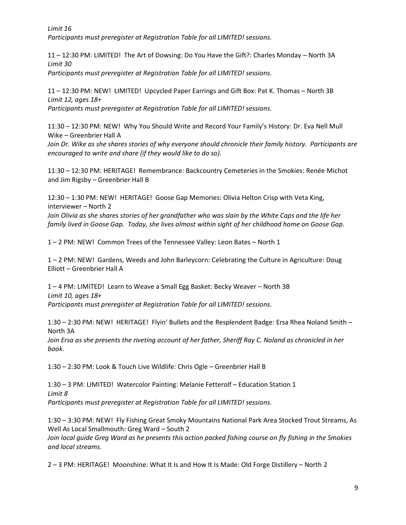### *Limit 16 Participants must preregister at Registration Table for all LIMITED! sessions.*

11 – 12:30 PM: LIMITED! The Art of Dowsing: Do You Have the Gift?: Charles Monday – North 3A *Limit 30 Participants must preregister at Registration Table for all LIMITED! sessions.*

11 – 12:30 PM: NEW! LIMITED! Upcycled Paper Earrings and Gift Box: Pat K. Thomas – North 3B *Limit 12, ages 18+ Participants must preregister at Registration Table for all LIMITED! sessions.*

11:30 – 12:30 PM: NEW! Why You Should Write and Record Your Family's History: Dr. Eva Nell Mull Wike – Greenbrier Hall A

*Join Dr. Wike as she shares stories of why everyone should chronicle their family history. Participants are encouraged to write and share (if they would like to do so).* 

11:30 – 12:30 PM: HERITAGE! Remembrance: Backcountry Cemeteries in the Smokies: Renée Michot and Jim Rigsby – Greenbrier Hall B

12:30 – 1:30 PM: NEW! HERITAGE! Goose Gap Memories: Olivia Helton Crisp with Veta King, interviewer – North 2

*Join Olivia as she shares stories of her grandfather who was slain by the White Caps and the life her family lived in Goose Gap. Today, she lives almost within sight of her childhood home on Goose Gap.* 

1 – 2 PM: NEW! Common Trees of the Tennessee Valley: Leon Bates – North 1

1 – 2 PM: NEW! Gardens, Weeds and John Barleycorn: Celebrating the Culture in Agriculture: Doug Elliott – Greenbrier Hall A

1 – 4 PM: LIMITED! Learn to Weave a Small Egg Basket: Becky Weaver – North 3B *Limit 10, ages 18+ Participants must preregister at Registration Table for all LIMITED! sessions.*

1:30 – 2:30 PM: NEW! HERITAGE! Flyin' Bullets and the Resplendent Badge: Ersa Rhea Noland Smith – North 3A

*Join Ersa as she presents the riveting account of her father, Sheriff Ray C. Noland as chronicled in her book.*

1:30 – 2:30 PM: Look & Touch Live Wildlife: Chris Ogle – Greenbrier Hall B

1:30 – 3 PM: LIMITED! Watercolor Painting: Melanie Fetterolf – Education Station 1 *Limit 8 Participants must preregister at Registration Table for all LIMITED! sessions.*

1:30 – 3:30 PM: NEW! Fly Fishing Great Smoky Mountains National Park Area Stocked Trout Streams, As Well As Local Smallmouth: Greg Ward – South 2

*Join local guide Greg Ward as he presents this action packed fishing course on fly fishing in the Smokies and local streams.*

2 – 3 PM: HERITAGE! Moonshine: What It Is and How It Is Made: Old Forge Distillery – North 2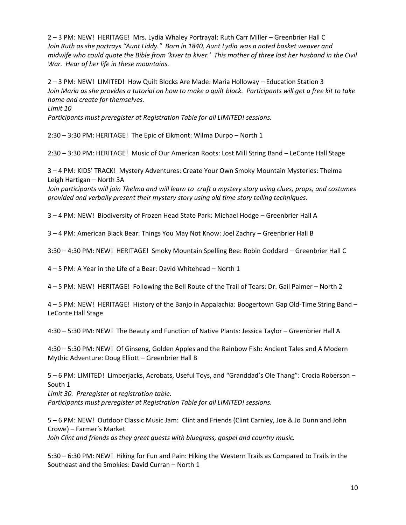2 – 3 PM: NEW! HERITAGE! Mrs. Lydia Whaley Portrayal: Ruth Carr Miller – Greenbrier Hall C Join Ruth as she portrays "Aunt Liddy." Born in 1840, Aunt Lydia was a noted basket weaver and *midwife who could quote the Bible from 'kiver to kiver.' This mother of three lost her husband in the Civil War. Hear of her life in these mountains.* 

2 – 3 PM: NEW! LIMITED! How Quilt Blocks Are Made: Maria Holloway – Education Station 3 *Join Maria as she provides a tutorial on how to make a quilt block. Participants will get a free kit to take home and create for themselves.*

*Limit 10*

*Participants must preregister at Registration Table for all LIMITED! sessions.*

2:30 – 3:30 PM: HERITAGE! The Epic of Elkmont: Wilma Durpo – North 1

2:30 – 3:30 PM: HERITAGE! Music of Our American Roots: Lost Mill String Band – LeConte Hall Stage

3 – 4 PM: KIDS' TRACK! Mystery Adventures: Create Your Own Smoky Mountain Mysteries: Thelma Leigh Hartigan – North 3A

*Join participants will join Thelma and will learn to craft a mystery story using clues, props, and costumes provided and verbally present their mystery story using old time story telling techniques.*

3 – 4 PM: NEW! Biodiversity of Frozen Head State Park: Michael Hodge – Greenbrier Hall A

3 – 4 PM: American Black Bear: Things You May Not Know: Joel Zachry – Greenbrier Hall B

3:30 – 4:30 PM: NEW! HERITAGE! Smoky Mountain Spelling Bee: Robin Goddard – Greenbrier Hall C

4 – 5 PM: A Year in the Life of a Bear: David Whitehead – North 1

4 – 5 PM: NEW! HERITAGE! Following the Bell Route of the Trail of Tears: Dr. Gail Palmer – North 2

4 – 5 PM: NEW! HERITAGE! History of the Banjo in Appalachia: Boogertown Gap Old-Time String Band – LeConte Hall Stage

4:30 – 5:30 PM: NEW! The Beauty and Function of Native Plants: Jessica Taylor – Greenbrier Hall A

4:30 – 5:30 PM: NEW! Of Ginseng, Golden Apples and the Rainbow Fish: Ancient Tales and A Modern Mythic Adventure: Doug Elliott – Greenbrier Hall B

5 – 6 PM: LIMITED! Limberjacks, Acrobats, Useful Toys, and "Granddad's Ole Thang": Crocia Roberson – South 1

*Limit 30. Preregister at registration table.*

*Participants must preregister at Registration Table for all LIMITED! sessions.*

5 – 6 PM: NEW! Outdoor Classic Music Jam: Clint and Friends (Clint Carnley, Joe & Jo Dunn and John Crowe) – Farmer's Market

*Join Clint and friends as they greet guests with bluegrass, gospel and country music.* 

5:30 – 6:30 PM: NEW! Hiking for Fun and Pain: Hiking the Western Trails as Compared to Trails in the Southeast and the Smokies: David Curran – North 1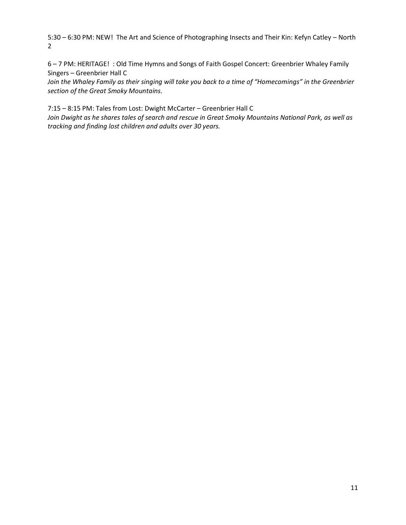5:30 – 6:30 PM: NEW! The Art and Science of Photographing Insects and Their Kin: Kefyn Catley – North 2

6 – 7 PM: HERITAGE! : Old Time Hymns and Songs of Faith Gospel Concert: Greenbrier Whaley Family Singers – Greenbrier Hall C

*Join the Whaley Family as their singing will take you back to a time of "Homecomings" in the Greenbrier section of the Great Smoky Mountains.*

7:15 – 8:15 PM: Tales from Lost: Dwight McCarter – Greenbrier Hall C *Join Dwight as he shares tales of search and rescue in Great Smoky Mountains National Park, as well as tracking and finding lost children and adults over 30 years.*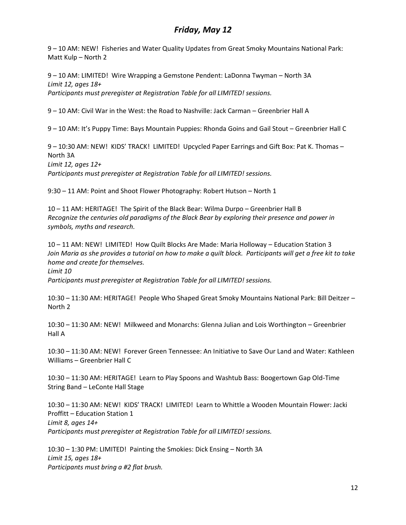## *Friday, May 12*

9 – 10 AM: NEW! Fisheries and Water Quality Updates from Great Smoky Mountains National Park: Matt Kulp – North 2

9 – 10 AM: LIMITED! Wire Wrapping a Gemstone Pendent: LaDonna Twyman – North 3A *Limit 12, ages 18+ Participants must preregister at Registration Table for all LIMITED! sessions.*

9 – 10 AM: Civil War in the West: the Road to Nashville: Jack Carman – Greenbrier Hall A

9 – 10 AM: It's Puppy Time: Bays Mountain Puppies: Rhonda Goins and Gail Stout – Greenbrier Hall C

9 – 10:30 AM: NEW! KIDS' TRACK! LIMITED! Upcycled Paper Earrings and Gift Box: Pat K. Thomas – North 3A *Limit 12, ages 12+ Participants must preregister at Registration Table for all LIMITED! sessions.*

9:30 – 11 AM: Point and Shoot Flower Photography: Robert Hutson – North 1

10 – 11 AM: HERITAGE! The Spirit of the Black Bear: Wilma Durpo – Greenbrier Hall B *Recognize the centuries old paradigms of the Black Bear by exploring their presence and power in symbols, myths and research.*

10 – 11 AM: NEW! LIMITED! How Quilt Blocks Are Made: Maria Holloway – Education Station 3 *Join Maria as she provides a tutorial on how to make a quilt block. Participants will get a free kit to take home and create for themselves.*

*Limit 10*

*Participants must preregister at Registration Table for all LIMITED! sessions.*

10:30 – 11:30 AM: HERITAGE! People Who Shaped Great Smoky Mountains National Park: Bill Deitzer – North 2

10:30 – 11:30 AM: NEW! Milkweed and Monarchs: Glenna Julian and Lois Worthington – Greenbrier Hall A

10:30 – 11:30 AM: NEW! Forever Green Tennessee: An Initiative to Save Our Land and Water: Kathleen Williams – Greenbrier Hall C

10:30 – 11:30 AM: HERITAGE! Learn to Play Spoons and Washtub Bass: Boogertown Gap Old-Time String Band – LeConte Hall Stage

10:30 – 11:30 AM: NEW! KIDS' TRACK! LIMITED! Learn to Whittle a Wooden Mountain Flower: Jacki Proffitt – Education Station 1 *Limit 8, ages 14+ Participants must preregister at Registration Table for all LIMITED! sessions.*

10:30 – 1:30 PM: LIMITED! Painting the Smokies: Dick Ensing – North 3A *Limit 15, ages 18+ Participants must bring a #2 flat brush.*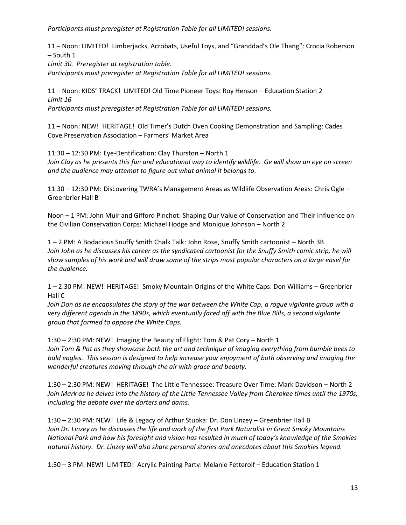*Participants must preregister at Registration Table for all LIMITED! sessions.*

11 – Noon: LIMITED! Limberjacks, Acrobats, Useful Toys, and "Granddad's Ole Thang": Crocia Roberson – South 1

*Limit 30. Preregister at registration table. Participants must preregister at Registration Table for all LIMITED! sessions.*

11 – Noon: KIDS' TRACK! LIMITED! Old Time Pioneer Toys: Roy Henson – Education Station 2 *Limit 16 Participants must preregister at Registration Table for all LIMITED! sessions.*

11 – Noon: NEW! HERITAGE! Old Timer's Dutch Oven Cooking Demonstration and Sampling: Cades Cove Preservation Association – Farmers' Market Area

11:30 – 12:30 PM: Eye-Dentification: Clay Thurston – North 1 *Join Clay as he presents this fun and educational way to identify wildlife. Ge will show an eye on screen and the audience may attempt to figure out what animal it belongs to.*

11:30 – 12:30 PM: Discovering TWRA's Management Areas as Wildlife Observation Areas: Chris Ogle – Greenbrier Hall B

Noon – 1 PM: John Muir and Gifford Pinchot: Shaping Our Value of Conservation and Their Influence on the Civilian Conservation Corps: Michael Hodge and Monique Johnson – North 2

1 – 2 PM: A Bodacious Snuffy Smith Chalk Talk: John Rose, Snuffy Smith cartoonist – North 3B *Join John as he discusses his career as the syndicated cartoonist for the Snuffy Smith comic strip, he will show samples of his work and will draw some of the strips most popular characters on a large easel for the audience.* 

1 – 2:30 PM: NEW! HERITAGE! Smoky Mountain Origins of the White Caps: Don Williams – Greenbrier Hall C

*Join Don as he encapsulates the story of the war between the White Cap, a rogue vigilante group with a very different agenda in the 1890s, which eventually faced off with the Blue Bills, a second vigilante group that formed to oppose the White Caps.*

1:30 – 2:30 PM: NEW! Imaging the Beauty of Flight: Tom & Pat Cory – North 1 *Join Tom & Pat as they showcase both the art and technique of imaging everything from bumble bees to bald eagles. This session is designed to help increase your enjoyment of both observing and imaging the wonderful creatures moving through the air with grace and beauty.*

1:30 – 2:30 PM: NEW! HERITAGE! The Little Tennessee: Treasure Over Time: Mark Davidson – North 2 *Join Mark as he delves into the history of the Little Tennessee Valley from Cherokee times until the 1970s, including the debate over the darters and dams.*

1:30 – 2:30 PM: NEW! Life & Legacy of Arthur Stupka: Dr. Don Linzey – Greenbrier Hall B *Join Dr. Linzey as he discusses the life and work of the first Park Naturalist in Great Smoky Mountains National Park and how his foresight and vision has resulted in much of today's knowledge of the Smokies natural history. Dr. Linzey will also share personal stories and anecdotes about this Smokies legend.*

1:30 – 3 PM: NEW! LIMITED! Acrylic Painting Party: Melanie Fetterolf – Education Station 1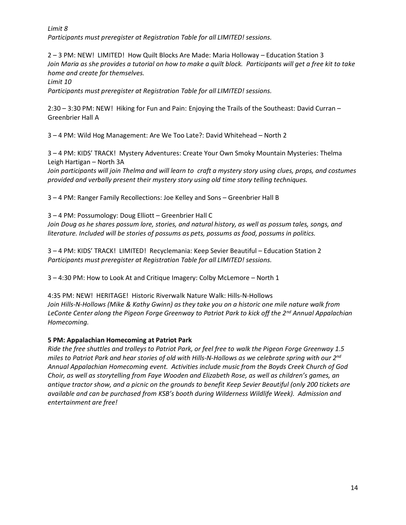*Limit 8 Participants must preregister at Registration Table for all LIMITED! sessions.*

2 – 3 PM: NEW! LIMITED! How Quilt Blocks Are Made: Maria Holloway – Education Station 3 *Join Maria as she provides a tutorial on how to make a quilt block. Participants will get a free kit to take home and create for themselves.*

*Limit 10*

*Participants must preregister at Registration Table for all LIMITED! sessions.*

2:30 – 3:30 PM: NEW! Hiking for Fun and Pain: Enjoying the Trails of the Southeast: David Curran – Greenbrier Hall A

3 – 4 PM: Wild Hog Management: Are We Too Late?: David Whitehead – North 2

3 – 4 PM: KIDS' TRACK! Mystery Adventures: Create Your Own Smoky Mountain Mysteries: Thelma Leigh Hartigan – North 3A

*Join participants will join Thelma and will learn to craft a mystery story using clues, props, and costumes provided and verbally present their mystery story using old time story telling techniques.*

3 – 4 PM: Ranger Family Recollections: Joe Kelley and Sons – Greenbrier Hall B

3 – 4 PM: Possumology: Doug Elliott – Greenbrier Hall C *Join Doug as he shares possum lore, stories, and natural history, as well as possum tales, songs, and literature. Included will be stories of possums as pets, possums as food, possums in politics.* 

3 – 4 PM: KIDS' TRACK! LIMITED! Recyclemania: Keep Sevier Beautiful – Education Station 2 *Participants must preregister at Registration Table for all LIMITED! sessions.*

3 – 4:30 PM: How to Look At and Critique Imagery: Colby McLemore – North 1

4:35 PM: NEW! HERITAGE! Historic Riverwalk Nature Walk: Hills-N-Hollows *Join Hills-N-Hollows (Mike & Kathy Gwinn) as they take you on a historic one mile nature walk from LeConte Center along the Pigeon Forge Greenway to Patriot Park to kick off the 2nd Annual Appalachian Homecoming.*

#### **5 PM: Appalachian Homecoming at Patriot Park**

*Ride the free shuttles and trolleys to Patriot Park, or feel free to walk the Pigeon Forge Greenway 1.5 miles to Patriot Park and hear stories of old with Hills-N-Hollows as we celebrate spring with our 2nd Annual Appalachian Homecoming event. Activities include music from the Boyds Creek Church of God Choir, as well as storytelling from Faye Wooden and Elizabeth Rose, as well as children's games, an antique tractor show, and a picnic on the grounds to benefit Keep Sevier Beautiful (only 200 tickets are available and can be purchased from KSB's booth during Wilderness Wildlife Week). Admission and entertainment are free!*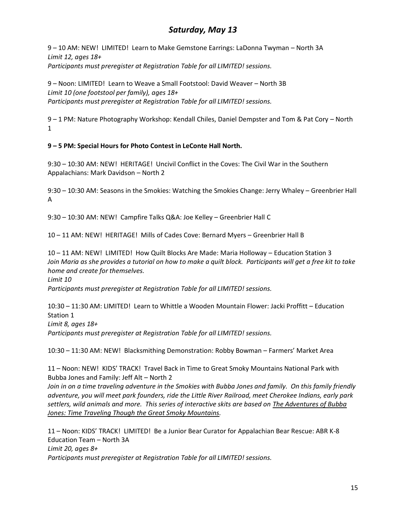# *Saturday, May 13*

9 – 10 AM: NEW! LIMITED! Learn to Make Gemstone Earrings: LaDonna Twyman – North 3A *Limit 12, ages 18+ Participants must preregister at Registration Table for all LIMITED! sessions.*

9 – Noon: LIMITED! Learn to Weave a Small Footstool: David Weaver – North 3B *Limit 10 (one footstool per family), ages 18+ Participants must preregister at Registration Table for all LIMITED! sessions.*

9 – 1 PM: Nature Photography Workshop: Kendall Chiles, Daniel Dempster and Tom & Pat Cory – North 1

### **9 – 5 PM: Special Hours for Photo Contest in LeConte Hall North.**

9:30 – 10:30 AM: NEW! HERITAGE! Uncivil Conflict in the Coves: The Civil War in the Southern Appalachians: Mark Davidson – North 2

9:30 – 10:30 AM: Seasons in the Smokies: Watching the Smokies Change: Jerry Whaley – Greenbrier Hall A

9:30 – 10:30 AM: NEW! Campfire Talks Q&A: Joe Kelley – Greenbrier Hall C

10 – 11 AM: NEW! HERITAGE! Mills of Cades Cove: Bernard Myers – Greenbrier Hall B

10 – 11 AM: NEW! LIMITED! How Quilt Blocks Are Made: Maria Holloway – Education Station 3 *Join Maria as she provides a tutorial on how to make a quilt block. Participants will get a free kit to take home and create for themselves.*

*Limit 10*

*Participants must preregister at Registration Table for all LIMITED! sessions.*

10:30 – 11:30 AM: LIMITED! Learn to Whittle a Wooden Mountain Flower: Jacki Proffitt – Education Station 1 *Limit 8, ages 18+ Participants must preregister at Registration Table for all LIMITED! sessions.*

10:30 – 11:30 AM: NEW! Blacksmithing Demonstration: Robby Bowman – Farmers' Market Area

11 – Noon: NEW! KIDS' TRACK! Travel Back in Time to Great Smoky Mountains National Park with Bubba Jones and Family: Jeff Alt – North 2

*Join in on a time traveling adventure in the Smokies with Bubba Jones and family. On this family friendly adventure, you will meet park founders, ride the Little River Railroad, meet Cherokee Indians, early park settlers, wild animals and more. This series of interactive skits are based on The Adventures of Bubba Jones: Time Traveling Though the Great Smoky Mountains.*

11 – Noon: KIDS' TRACK! LIMITED! Be a Junior Bear Curator for Appalachian Bear Rescue: ABR K-8 Education Team – North 3A *Limit 20, ages 8+ Participants must preregister at Registration Table for all LIMITED! sessions.*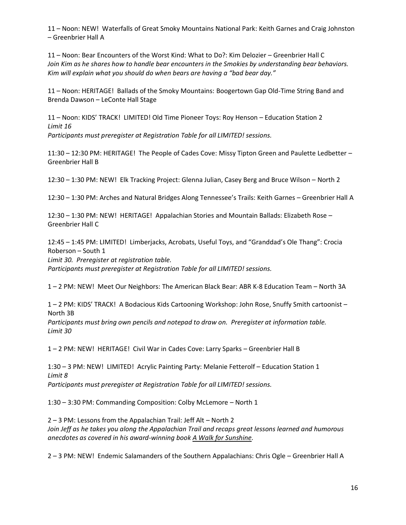11 – Noon: NEW! Waterfalls of Great Smoky Mountains National Park: Keith Garnes and Craig Johnston – Greenbrier Hall A

11 – Noon: Bear Encounters of the Worst Kind: What to Do?: Kim Delozier – Greenbrier Hall C *Join Kim as he shares how to handle bear encounters in the Smokies by understanding bear behaviors. Kim will explain what you should do when bears are having a "bad bear day."*

11 – Noon: HERITAGE! Ballads of the Smoky Mountains: Boogertown Gap Old-Time String Band and Brenda Dawson – LeConte Hall Stage

11 – Noon: KIDS' TRACK! LIMITED! Old Time Pioneer Toys: Roy Henson – Education Station 2 *Limit 16*

*Participants must preregister at Registration Table for all LIMITED! sessions.*

11:30 – 12:30 PM: HERITAGE! The People of Cades Cove: Missy Tipton Green and Paulette Ledbetter – Greenbrier Hall B

12:30 – 1:30 PM: NEW! Elk Tracking Project: Glenna Julian, Casey Berg and Bruce Wilson – North 2

12:30 – 1:30 PM: Arches and Natural Bridges Along Tennessee's Trails: Keith Garnes – Greenbrier Hall A

12:30 – 1:30 PM: NEW! HERITAGE! Appalachian Stories and Mountain Ballads: Elizabeth Rose – Greenbrier Hall C

12:45 – 1:45 PM: LIMITED! Limberjacks, Acrobats, Useful Toys, and "Granddad's Ole Thang": Crocia Roberson – South 1

*Limit 30. Preregister at registration table.*

*Participants must preregister at Registration Table for all LIMITED! sessions.*

1 – 2 PM: NEW! Meet Our Neighbors: The American Black Bear: ABR K-8 Education Team – North 3A

1 – 2 PM: KIDS' TRACK! A Bodacious Kids Cartooning Workshop: John Rose, Snuffy Smith cartoonist – North 3B

*Participants must bring own pencils and notepad to draw on. Preregister at information table. Limit 30*

1 – 2 PM: NEW! HERITAGE! Civil War in Cades Cove: Larry Sparks – Greenbrier Hall B

1:30 – 3 PM: NEW! LIMITED! Acrylic Painting Party: Melanie Fetterolf – Education Station 1 *Limit 8 Participants must preregister at Registration Table for all LIMITED! sessions.*

1:30 – 3:30 PM: Commanding Composition: Colby McLemore – North 1

2 – 3 PM: Lessons from the Appalachian Trail: Jeff Alt – North 2 *Join Jeff as he takes you along the Appalachian Trail and recaps great lessons learned and humorous anecdotes as covered in his award-winning book A Walk for Sunshine.*

2 – 3 PM: NEW! Endemic Salamanders of the Southern Appalachians: Chris Ogle – Greenbrier Hall A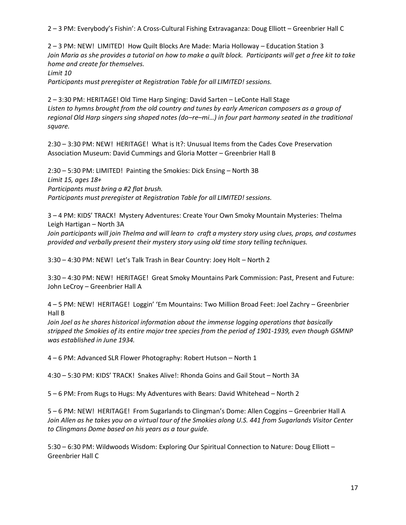2 – 3 PM: Everybody's Fishin': A Cross-Cultural Fishing Extravaganza: Doug Elliott – Greenbrier Hall C

2 – 3 PM: NEW! LIMITED! How Quilt Blocks Are Made: Maria Holloway – Education Station 3 *Join Maria as she provides a tutorial on how to make a quilt block. Participants will get a free kit to take home and create for themselves. Limit 10*

*Participants must preregister at Registration Table for all LIMITED! sessions.*

2 – 3:30 PM: HERITAGE! Old Time Harp Singing: David Sarten – LeConte Hall Stage *Listen to hymns brought from the old country and tunes by early American composers as a group of regional Old Harp singers sing shaped notes (do–re–mi…) in four part harmony seated in the traditional square.*

2:30 – 3:30 PM: NEW! HERITAGE! What is It?: Unusual Items from the Cades Cove Preservation Association Museum: David Cummings and Gloria Motter – Greenbrier Hall B

2:30 – 5:30 PM: LIMITED! Painting the Smokies: Dick Ensing – North 3B *Limit 15, ages 18+ Participants must bring a #2 flat brush. Participants must preregister at Registration Table for all LIMITED! sessions.*

3 – 4 PM: KIDS' TRACK! Mystery Adventures: Create Your Own Smoky Mountain Mysteries: Thelma Leigh Hartigan – North 3A

*Join participants will join Thelma and will learn to craft a mystery story using clues, props, and costumes provided and verbally present their mystery story using old time story telling techniques.*

3:30 – 4:30 PM: NEW! Let's Talk Trash in Bear Country: Joey Holt – North 2

3:30 – 4:30 PM: NEW! HERITAGE! Great Smoky Mountains Park Commission: Past, Present and Future: John LeCroy – Greenbrier Hall A

4 – 5 PM: NEW! HERITAGE! Loggin' 'Em Mountains: Two Million Broad Feet: Joel Zachry – Greenbrier Hall B

*Join Joel as he shares historical information about the immense logging operations that basically stripped the Smokies of its entire major tree species from the period of 1901-1939, even though GSMNP was established in June 1934.*

4 – 6 PM: Advanced SLR Flower Photography: Robert Hutson – North 1

4:30 – 5:30 PM: KIDS' TRACK! Snakes Alive!: Rhonda Goins and Gail Stout – North 3A

5 – 6 PM: From Rugs to Hugs: My Adventures with Bears: David Whitehead – North 2

5 – 6 PM: NEW! HERITAGE! From Sugarlands to Clingman's Dome: Allen Coggins – Greenbrier Hall A *Join Allen as he takes you on a virtual tour of the Smokies along U.S. 441 from Sugarlands Visitor Center to Clingmans Dome based on his years as a tour guide.*

5:30 – 6:30 PM: Wildwoods Wisdom: Exploring Our Spiritual Connection to Nature: Doug Elliott – Greenbrier Hall C